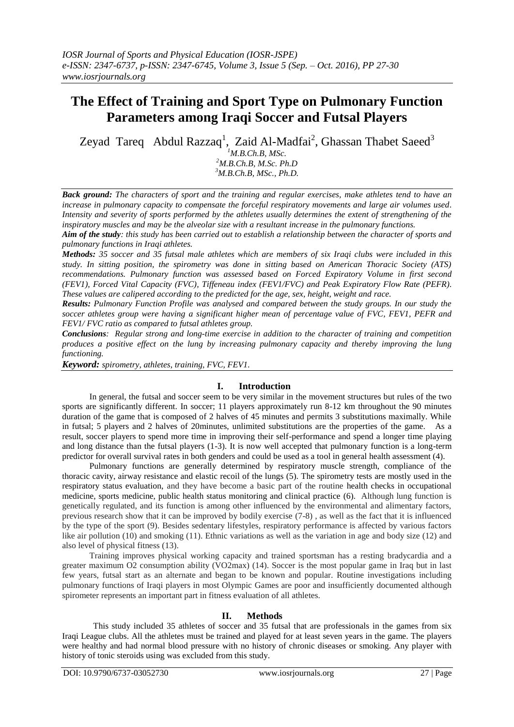# **The Effect of Training and Sport Type on Pulmonary Function Parameters among Iraqi Soccer and Futsal Players**

Zeyad Tareq Abdul Razzaq<sup>1</sup>, Zaid Al-Madfai<sup>2</sup>, Ghassan Thabet Saeed<sup>3</sup>

*<sup>1</sup>M.B.Ch.B, MSc. <sup>2</sup>M.B.Ch.B, M.Sc. Ph.D <sup>3</sup>M.B.Ch.B, MSc., Ph.D.*

*Back ground: The characters of sport and the training and regular exercises, make athletes tend to have an increase in pulmonary capacity to compensate the forceful respiratory movements and large air volumes used. Intensity and severity of sports performed by the athletes usually determines the extent of strengthening of the inspiratory muscles and may be the alveolar size with a resultant increase in the pulmonary functions.*

*Aim of the study: this study has been carried out to establish a relationship between the character of sports and pulmonary functions in Iraqi athletes.*

*Methods: 35 soccer and 35 futsal male athletes which are members of six Iraqi clubs were included in this study. In sitting position, the spirometry was done in sitting based on American Thoracic Society (ATS) recommendations. Pulmonary function was assessed based on Forced Expiratory Volume in first second (FEV1), Forced Vital Capacity (FVC), Tiffeneau index (FEV1/FVC) and Peak Expiratory Flow Rate (PEFR). These values are calipered according to the predicted for the age, sex, height, weight and race.*

*Results: Pulmonary Function Profile was analysed and compared between the study groups. In our study the soccer athletes group were having a significant higher mean of percentage value of FVC, FEV1, PEFR and FEV1/ FVC ratio as compared to futsal athletes group.* 

*Conclusions: Regular strong and long-time exercise in addition to the character of training and competition produces a positive effect on the lung by increasing pulmonary capacity and thereby improving the lung functioning.*

*Keyword: spirometry, athletes, training, FVC, FEV1.*

# **I. Introduction**

In general, the futsal and soccer seem to be very similar in the movement structures but rules of the two sports are significantly different. In soccer; 11 players approximately run 8-12 km throughout the 90 minutes duration of the game that is composed of 2 halves of 45 minutes and permits 3 substitutions maximally. While in futsal; 5 players and 2 halves of 20minutes, unlimited substitutions are the properties of the game. As a result, soccer players to spend more time in improving their self-performance and spend a longer time playing and long distance than the futsal players (1-3). It is now well accepted that pulmonary function is a long-term predictor for overall survival rates in both genders and could be used as a tool in general health assessment (4).

Pulmonary functions are generally determined by respiratory muscle strength, compliance of the thoracic cavity, airway resistance and elastic recoil of the lungs (5). The spirometry tests are mostly used in the respiratory status evaluation, and they have become a basic part of the routine health checks in occupational medicine, sports medicine, public health status monitoring and clinical practice (6). Although lung function is genetically regulated, and its function is among other influenced by the environmental and alimentary factors, previous research show that it can be improved by bodily exercise (7-8) , as well as the fact that it is influenced by the type of the sport (9). Besides sedentary lifestyles, respiratory performance is affected by various factors like air pollution (10) and smoking (11). Ethnic variations as well as the variation in age and body size (12) and also level of physical fitness (13).

Training improves physical working capacity and trained sportsman has a resting bradycardia and a greater maximum O2 consumption ability (VO2max) (14). Soccer is the most popular game in Iraq but in last few years, futsal start as an alternate and began to be known and popular. Routine investigations including pulmonary functions of Iraqi players in most Olympic Games are poor and insufficiently documented although spirometer represents an important part in fitness evaluation of all athletes.

# **II. Methods**

This study included 35 athletes of soccer and 35 futsal that are professionals in the games from six Iraqi League clubs. All the athletes must be trained and played for at least seven years in the game. The players were healthy and had normal blood pressure with no history of chronic diseases or smoking. Any player with history of tonic steroids using was excluded from this study.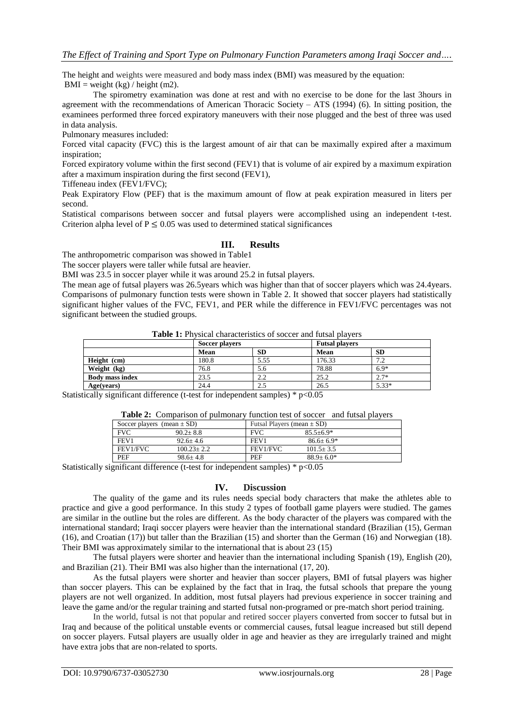The height and weights were measured and body mass index (BMI) was measured by the equation:  $BMI = weight (kg) / height (m2).$ 

The spirometry examination was done at rest and with no exercise to be done for the last 3hours in agreement with the recommendations of American Thoracic Society – ATS (1994) (6). In sitting position, the examinees performed three forced expiratory maneuvers with their nose plugged and the best of three was used in data analysis.

Pulmonary measures included:

Forced vital capacity (FVC) this is the largest amount of air that can be maximally expired after a maximum inspiration;

Forced expiratory volume within the first second (FEV1) that is volume of air expired by a maximum expiration after a maximum inspiration during the first second (FEV1),

Tiffeneau index (FEV1/FVC);

Peak Expiratory Flow (PEF) that is the maximum amount of flow at peak expiration measured in liters per second.

Statistical comparisons between soccer and futsal players were accomplished using an independent t-test. Criterion alpha level of  $P \le 0.05$  was used to determined statical significances

# **III. Results**

The anthropometric comparison was showed in Table1

The soccer players were taller while futsal are heavier.

BMI was 23.5 in soccer player while it was around 25.2 in futsal players.

The mean age of futsal players was 26.5years which was higher than that of soccer players which was 24.4years. Comparisons of pulmonary function tests were shown in Table 2. It showed that soccer players had statistically significant higher values of the FVC, FEV1, and PER while the difference in FEV1/FVC percentages was not significant between the studied groups.

**Table 1:** Physical characteristics of soccer and futsal players

|                        | Soccer players |           |        | <b>Futsal players</b> |  |
|------------------------|----------------|-----------|--------|-----------------------|--|
|                        | Mean           | <b>SD</b> | Mean   | <b>SD</b>             |  |
| Height (cm)            | 180.8          | 5.55      | 176.33 | 7.2                   |  |
| Weight (kg)            | 76.8           | 5.6       | 78.88  | $6.9*$                |  |
| <b>Body mass index</b> | 23.5           | 2.2       | 25.2   | $2.7*$                |  |
| Age(years)             | 24.4           | 2.5       | 26.5   | $5.33*$               |  |

Statistically significant difference (t-test for independent samples) \* p<0.05

|  |  |  | Table 2: Comparison of pulmonary function test of soccer and futsal players |  |
|--|--|--|-----------------------------------------------------------------------------|--|
|--|--|--|-----------------------------------------------------------------------------|--|

| Soccer players (mean $\pm$ SD) |                |            | Futsal Players (mean $\pm$ SD) |  |
|--------------------------------|----------------|------------|--------------------------------|--|
| <b>FVC</b>                     | $90.2 + 8.8$   | <b>FVC</b> | $85.5 + 6.9*$                  |  |
| FEV1                           | $92.6 + 4.6$   | FEV1       | $86.6 + 6.9*$                  |  |
| FEV1/FVC                       | $100.23 + 2.2$ | FEV1/FVC   | $101.5 + 3.5$                  |  |
| PEF                            | $98.6 + 4.8$   | PEF        | $88.9 + 6.0*$                  |  |

Statistically significant difference (t-test for independent samples)  $* p < 0.05$ 

# **IV. Discussion**

The quality of the game and its rules needs special body characters that make the athletes able to practice and give a good performance. In this study 2 types of football game players were studied. The games are similar in the outline but the roles are different. As the body character of the players was compared with the international standard; Iraqi soccer players were heavier than the international standard (Brazilian (15), German (16), and Croatian (17)) but taller than the Brazilian (15) and shorter than the German (16) and Norwegian (18). Their BMI was approximately similar to the international that is about 23 (15)

The futsal players were shorter and heavier than the international including Spanish (19), English (20), and Brazilian (21). Their BMI was also higher than the international (17, 20).

As the futsal players were shorter and heavier than soccer players, BMI of futsal players was higher than soccer players. This can be explained by the fact that in Iraq, the futsal schools that prepare the young players are not well organized. In addition, most futsal players had previous experience in soccer training and leave the game and/or the regular training and started futsal non-programed or pre-match short period training.

In the world, futsal is not that popular and retired soccer players converted from soccer to futsal but in Iraq and because of the political unstable events or commercial causes, futsal league increased but still depend on soccer players. Futsal players are usually older in age and heavier as they are irregularly trained and might have extra jobs that are non-related to sports.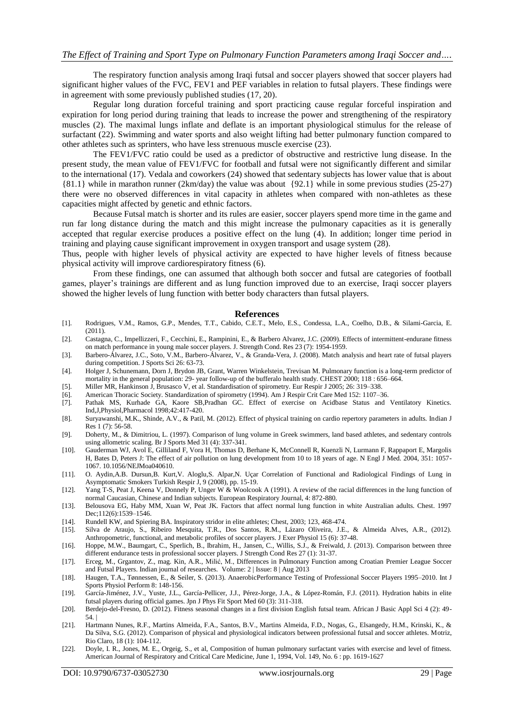The respiratory function analysis among Iraqi futsal and soccer players showed that soccer players had significant higher values of the FVC, FEV1 and PEF variables in relation to futsal players. These findings were in agreement with some previously published studies (17, 20).

Regular long duration forceful training and sport practicing cause regular forceful inspiration and expiration for long period during training that leads to increase the power and strengthening of the respiratory muscles (2). The maximal lungs inflate and deflate is an important physiological stimulus for the release of surfactant (22). Swimming and water sports and also weight lifting had better pulmonary function compared to other athletes such as sprinters, who have less strenuous muscle exercise (23).

The FEV1/FVC ratio could be used as a predictor of obstructive and restrictive lung disease. In the present study, the mean value of FEV1/FVC for football and futsal were not significantly different and similar to the international (17). Vedala and coworkers (24) showed that sedentary subjects has lower value that is about {81.1} while in marathon runner (2km/day) the value was about {92.1} while in some previous studies (25-27) there were no observed differences in vital capacity in athletes when compared with non-athletes as these capacities might affected by genetic and ethnic factors.

Because Futsal match is shorter and its rules are easier, soccer players spend more time in the game and run far long distance during the match and this might increase the pulmonary capacities as it is generally accepted that regular exercise produces a positive effect on the lung (4). In addition; longer time period in training and playing cause significant improvement in oxygen transport and usage system (28).

Thus, people with higher levels of physical activity are expected to have higher levels of fitness because physical activity will improve cardiorespiratory fitness (6).

From these findings, one can assumed that although both soccer and futsal are categories of football games, player's trainings are different and as lung function improved due to an exercise, Iraqi soccer players showed the higher levels of lung function with better body characters than futsal players.

#### **References**

- [1]. Rodrigues, V.M., Ramos, G.P., Mendes, T.T., Cabido, C.E.T., Melo, E.S., Condessa, L.A., Coelho, D.B., & Silami-Garcia, E. (2011).
- [2]. Castagna, C., Impellizzeri, F., Cecchini, E., Rampinini, E., & Barbero Alvarez, J.C. (2009). Effects of intermittent-endurane fitness on match performance in young male soccer players. J. Strength Cond. Res 23 (7): 1954-1959.
- [3]. Barbero-Álvarez, J.C., Soto, V.M., Barbero-Álvarez, V., & Granda-Vera, J. (2008). Match analysis and heart rate of futsal players during competition. J Sports Sci 26: 63-73.
- [4]. Holger J, Schunemann, Dorn J, Brydon JB, Grant, Warren Winkelstein, Trevisan M. Pulmonary function is a long-term predictor of mortality in the general population: 29- year follow-up of the bufferalo health study. CHEST 2000; 118 : 656–664.
- [5]. Miller MR, Hankinson J, Brusasco V, et al. Standardisation of spirometry. Eur Respir J 2005; 26: 319–338.
- [6]. American Thoracic Society. Standardization of spirometry (1994). Am J Respir Crit Care Med 152: 1107–36.
- [7]. Pathak MS, Kurhade GA, Kaore SB,Pradhan GC. Effect of exercise on Acidbase Status and Ventilatory Kinetics. Ind,J,Physiol,Pharmacol 1998;42:417-420.
- [8]. Suryawanshi, M.K., Shinde, A.V., & Patil, M. (2012). Effect of physical training on cardio repertory parameters in adults. Indian J Res 1 (7): 56-58.
- [9]. Doherty, M., & Dimitriou, L. (1997). Comparison of lung volume in Greek swimmers, land based athletes, and sedentary controls using allometric scaling. Br J Sports Med 31 (4): 337-341.
- [10]. Gauderman WJ, Avol E, Gilliland F, Vora H, Thomas D, Berhane K, McConnell R, Kuenzli N, Lurmann F, Rappaport E, Margolis H, Bates D, Peters J: The effect of air pollution on lung development from 10 to 18 years of age. N Engl J Med. 2004, 351: 1057- 1067. 10.1056/NEJMoa040610.
- [11]. O. Aydin,A.B. Dursun,B. Kurt,V. Aloglu,S. Alpar,N. Uçar Correlation of Functional and Radiological Findings of Lung in Asymptomatic Smokers Turkish Respir J, 9 (2008), pp. 15-19.
- [12]. Yang T-S, Peat J, Keena V, Donnely P, Unger W & Woolcook A (1991). A review of the racial differences in the lung function of normal Caucasian, Chinese and Indian subjects. European Respiratory Journal, 4: 872-880.
- [13]. Belousova EG, Haby MM, Xuan W, Peat JK. Factors that affect normal lung function in white Australian adults. Chest. 1997 Dec;112(6):1539-1546.
- [14]. Rundell KW, and Spiering BA. Inspiratory stridor in elite athletes; Chest, 2003; 123, 468-474.
- [15]. Silva de Araujo, S., Ribeiro Mesquita, T.R., Dos Santos, R.M., Lázaro Oliveira, J.E., & Almeida Alves, A.R., (2012). Anthropometric, functional, and metabolic profiles of soccer players. J Exer Physiol 15 (6): 37-48.
- [16]. Hoppe, M.W., Baumgart, C., Sperlich, B., Ibrahim, H., Jansen, C., Willis, S.J., & Freiwald, J. (2013). Comparison between three different endurance tests in professional soccer players. J Strength Cond Res 27 (1): 31-37.
- [17]. Erceg, M., Grgantov, Z., mag. Kin, A.R., Milić, M., Differences in Pulmonary Function among Croatian Premier League Soccer and Futsal Players. Indian journal of researches. Volume: 2 | Issue: 8 | Aug 2013
- [18]. Haugen, T.A., Tønnessen, E., & Seiler, S. (2013). AnaerobicPerformance Testing of Professional Soccer Players 1995–2010. Int J Sports Physiol Perform 8: 148-156.
- [19]. García-Jiménez, J.V., Yuste, J.L., García-Pellicer, J.J., Pérez-Jorge, J.A., & López-Román, F.J. (2011). Hydration habits in elite futsal players during official games. Jpn J Phys Fit Sport Med  $60$  (3): 311-318.
- [20]. Berdejo-del-Fresno, D. (2012). Fitness seasonal changes in a first division English futsal team. African J Basic Appl Sci 4 (2): 49- 54. |
- [21]. Hartmann Nunes, R.F., Martins Almeida, F.A., Santos, B.V., Martins Almeida, F.D., Nogas, G., Elsangedy, H.M., Krinski, K., & Da Silva, S.G. (2012). Comparison of physical and physiological indicators between professional futsal and soccer athletes. Motriz, Rio Claro, 18 (1): 104-112.
- [22]. Doyle, I. R., Jones, M. E., Orgeig, S., et al, Composition of human pulmonary surfactant varies with exercise and level of fitness. American Journal of Respiratory and Critical Care Medicine, June 1, 1994, Vol. 149, No. 6 : pp. 1619-1627